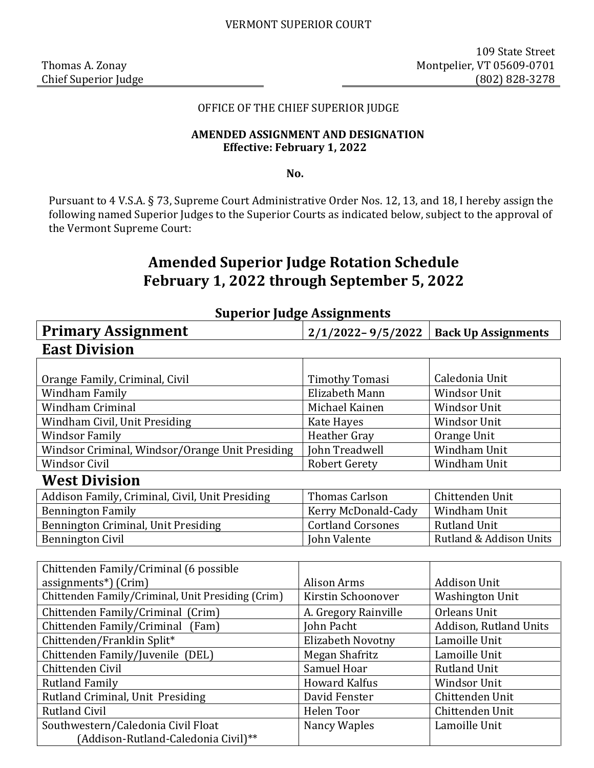### OFFICE OF THE CHIEF SUPERIOR JUDGE

### **AMENDED ASSIGNMENT AND DESIGNATION Effective: February 1, 2022**

**No.** 

Pursuant to 4 V.S.A. § 73, Supreme Court Administrative Order Nos. 12, 13, and 18, I hereby assign the following named Superior Judges to the Superior Courts as indicated below, subject to the approval of the Vermont Supreme Court:

# **Amended Superior Judge Rotation Schedule February 1, 2022 through September 5, 2022**

| $\frac{1}{2}$                                     |                          |                            |  |  |
|---------------------------------------------------|--------------------------|----------------------------|--|--|
| <b>Primary Assignment</b>                         | $2/1/2022 - 9/5/2022$    | <b>Back Up Assignments</b> |  |  |
| <b>East Division</b>                              |                          |                            |  |  |
|                                                   |                          |                            |  |  |
| Orange Family, Criminal, Civil                    | <b>Timothy Tomasi</b>    | Caledonia Unit             |  |  |
| Windham Family                                    | Elizabeth Mann           | <b>Windsor Unit</b>        |  |  |
| <b>Windham Criminal</b>                           | Michael Kainen           | Windsor Unit               |  |  |
| Windham Civil, Unit Presiding                     | Kate Hayes               | <b>Windsor Unit</b>        |  |  |
| <b>Windsor Family</b>                             | <b>Heather Gray</b>      | Orange Unit                |  |  |
| Windsor Criminal, Windsor/Orange Unit Presiding   | John Treadwell           | Windham Unit               |  |  |
| <b>Windsor Civil</b>                              | <b>Robert Gerety</b>     | Windham Unit               |  |  |
| <b>West Division</b>                              |                          |                            |  |  |
| Addison Family, Criminal, Civil, Unit Presiding   | <b>Thomas Carlson</b>    | Chittenden Unit            |  |  |
| <b>Bennington Family</b>                          | Kerry McDonald-Cady      | Windham Unit               |  |  |
| Bennington Criminal, Unit Presiding               | <b>Cortland Corsones</b> | <b>Rutland Unit</b>        |  |  |
| <b>Bennington Civil</b>                           | John Valente             | Rutland & Addison Units    |  |  |
|                                                   |                          |                            |  |  |
| Chittenden Family/Criminal (6 possible            |                          |                            |  |  |
| assignments*) (Crim)                              | <b>Alison Arms</b>       | <b>Addison Unit</b>        |  |  |
| Chittenden Family/Criminal, Unit Presiding (Crim) | Kirstin Schoonover       | <b>Washington Unit</b>     |  |  |
| Chittenden Family/Criminal (Crim)                 | A. Gregory Rainville     | Orleans Unit               |  |  |
| Chittenden Family/Criminal<br>(Fam)               | <b>John Pacht</b>        | Addison, Rutland Units     |  |  |
| Chittenden/Franklin Split*                        | Elizabeth Novotny        | Lamoille Unit              |  |  |
| Chittenden Family/Juvenile (DEL)                  | Megan Shafritz           | Lamoille Unit              |  |  |
| Chittenden Civil                                  | Samuel Hoar              | <b>Rutland Unit</b>        |  |  |
| <b>Rutland Family</b>                             | <b>Howard Kalfus</b>     | <b>Windsor Unit</b>        |  |  |
| Rutland Criminal, Unit Presiding                  | David Fenster            | Chittenden Unit            |  |  |
| <b>Rutland Civil</b>                              | Helen Toor               | Chittenden Unit            |  |  |
| Southwestern/Caledonia Civil Float                | <b>Nancy Waples</b>      | Lamoille Unit              |  |  |
| (Addison-Rutland-Caledonia Civil)**               |                          |                            |  |  |

## **Superior Judge Assignments**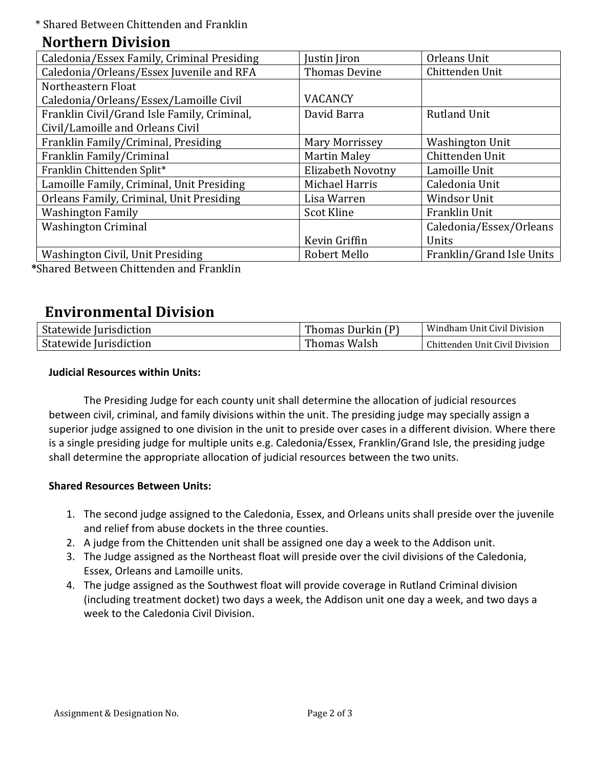\* Shared Between Chittenden and Franklin

## **Northern Division**

| Caledonia/Essex Family, Criminal Presiding  | Justin Jiron          | Orleans Unit              |
|---------------------------------------------|-----------------------|---------------------------|
| Caledonia/Orleans/Essex Juvenile and RFA    | <b>Thomas Devine</b>  | Chittenden Unit           |
| Northeastern Float                          |                       |                           |
| Caledonia/Orleans/Essex/Lamoille Civil      | <b>VACANCY</b>        |                           |
| Franklin Civil/Grand Isle Family, Criminal, | David Barra           | <b>Rutland Unit</b>       |
| Civil/Lamoille and Orleans Civil            |                       |                           |
| Franklin Family/Criminal, Presiding         | <b>Mary Morrissey</b> | <b>Washington Unit</b>    |
| Franklin Family/Criminal                    | <b>Martin Maley</b>   | Chittenden Unit           |
| Franklin Chittenden Split*                  | Elizabeth Novotny     | Lamoille Unit             |
| Lamoille Family, Criminal, Unit Presiding   | Michael Harris        | Caledonia Unit            |
| Orleans Family, Criminal, Unit Presiding    | Lisa Warren           | <b>Windsor Unit</b>       |
| <b>Washington Family</b>                    | <b>Scot Kline</b>     | Franklin Unit             |
| <b>Washington Criminal</b>                  |                       | Caledonia/Essex/Orleans   |
|                                             | Kevin Griffin         | Units                     |
| Washington Civil, Unit Presiding            | Robert Mello          | Franklin/Grand Isle Units |
|                                             |                       |                           |

**\***Shared Between Chittenden and Franklin

# **Environmental Division**

| Statewide Jurisdiction | Thomas Durkin (P) | Windham Unit Civil Division    |
|------------------------|-------------------|--------------------------------|
| Statewide Jurisdiction | Thomas Walsh      | Chittenden Unit Civil Division |

### **Judicial Resources within Units:**

The Presiding Judge for each county unit shall determine the allocation of judicial resources between civil, criminal, and family divisions within the unit. The presiding judge may specially assign a superior judge assigned to one division in the unit to preside over cases in a different division. Where there is a single presiding judge for multiple units e.g. Caledonia/Essex, Franklin/Grand Isle, the presiding judge shall determine the appropriate allocation of judicial resources between the two units.

### **Shared Resources Between Units:**

- 1. The second judge assigned to the Caledonia, Essex, and Orleans units shall preside over the juvenile and relief from abuse dockets in the three counties.
- 2. A judge from the Chittenden unit shall be assigned one day a week to the Addison unit.
- 3. The Judge assigned as the Northeast float will preside over the civil divisions of the Caledonia, Essex, Orleans and Lamoille units.
- 4. The judge assigned as the Southwest float will provide coverage in Rutland Criminal division (including treatment docket) two days a week, the Addison unit one day a week, and two days a week to the Caledonia Civil Division.